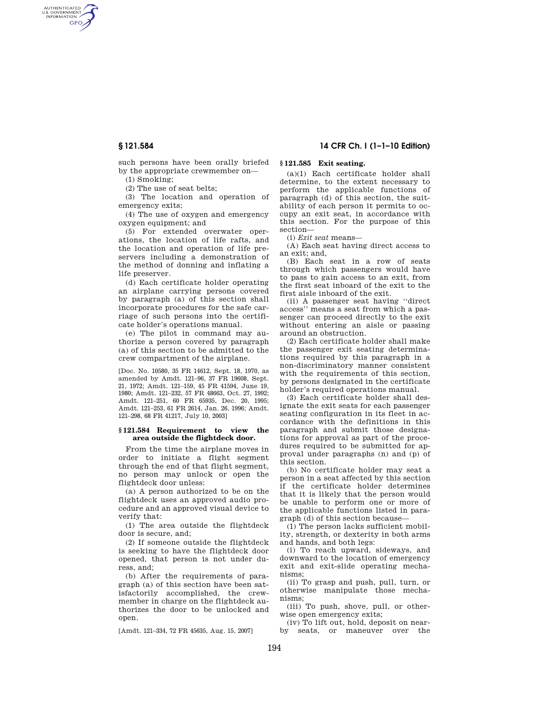AUTHENTICATED<br>U.S. GOVERNMENT<br>INFORMATION **GPO** 

> such persons have been orally briefed by the appropriate crewmember on—

(1) Smoking;

(2) The use of seat belts;

(3) The location and operation of emergency exits;

(4) The use of oxygen and emergency oxygen equipment; and

(5) For extended overwater operations, the location of life rafts, and the location and operation of life preservers including a demonstration of the method of donning and inflating a life preserver.

(d) Each certificate holder operating an airplane carrying persons covered by paragraph (a) of this section shall incorporate procedures for the safe carriage of such persons into the certificate holder's operations manual.

(e) The pilot in command may authorize a person covered by paragraph (a) of this section to be admitted to the crew compartment of the airplane.

[Doc. No. 10580, 35 FR 14612, Sept. 18, 1970, as amended by Amdt. 121–96, 37 FR 19608, Sept. 21, 1972; Amdt. 121–159, 45 FR 41594, June 19, 1980; Amdt. 121–232, 57 FR 48663, Oct. 27, 1992; Amdt. 121–251, 60 FR 65935, Dec. 20, 1995; Amdt. 121–253, 61 FR 2614, Jan. 26, 1996; Amdt. 121–298, 68 FR 41217, July 10, 2003]

#### **§ 121.584 Requirement to view the area outside the flightdeck door.**

From the time the airplane moves in order to initiate a flight segment through the end of that flight segment, no person may unlock or open the flightdeck door unless:

(a) A person authorized to be on the flightdeck uses an approved audio procedure and an approved visual device to verify that:

(1) The area outside the flightdeck door is secure, and;

(2) If someone outside the flightdeck is seeking to have the flightdeck door opened, that person is not under duress, and;

(b) After the requirements of paragraph (a) of this section have been satisfactorily accomplished, the crewmember in charge on the flightdeck authorizes the door to be unlocked and open.

[Amdt. 121–334, 72 FR 45635, Aug. 15, 2007]

## **§ 121.584 14 CFR Ch. I (1–1–10 Edition)**

# **§ 121.585 Exit seating.**

(a)(1) Each certificate holder shall determine, to the extent necessary to perform the applicable functions of paragraph (d) of this section, the suitability of each person it permits to occupy an exit seat, in accordance with this section. For the purpose of this section—

(i) *Exit seat* means—

(A) Each seat having direct access to an exit; and,

(B) Each seat in a row of seats through which passengers would have to pass to gain access to an exit, from the first seat inboard of the exit to the first aisle inboard of the exit.

(ii) A passenger seat having ''direct access'' means a seat from which a passenger can proceed directly to the exit without entering an aisle or passing around an obstruction.

(2) Each certificate holder shall make the passenger exit seating determinations required by this paragraph in a non-discriminatory manner consistent with the requirements of this section, by persons designated in the certificate holder's required operations manual.

(3) Each certificate holder shall designate the exit seats for each passenger seating configuration in its fleet in accordance with the definitions in this paragraph and submit those designations for approval as part of the procedures required to be submitted for approval under paragraphs (n) and (p) of this section.

(b) No certificate holder may seat a person in a seat affected by this section if the certificate holder determines that it is likely that the person would be unable to perform one or more of the applicable functions listed in paragraph (d) of this section because—

(1) The person lacks sufficient mobility, strength, or dexterity in both arms and hands, and both legs:

(i) To reach upward, sideways, and downward to the location of emergency exit and exit-slide operating mechanisms;

(ii) To grasp and push, pull, turn, or otherwise manipulate those mechanisms;

(iii) To push, shove, pull, or otherwise open emergency exits;

(iv) To lift out, hold, deposit on nearby seats, or maneuver over the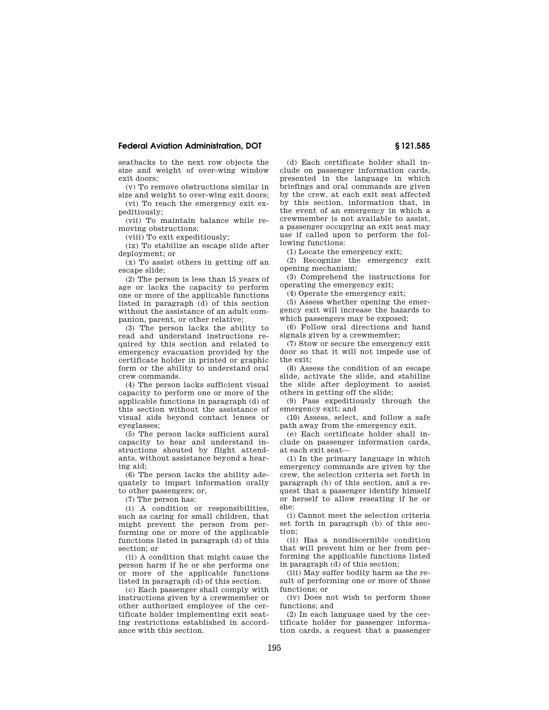## **Federal Aviation Administration, DOT § 121.585**

seatbacks to the next row objects the size and weight of over-wing window exit doors;

(v) To remove obstructions similar in

size and weight to over-wing exit doors; (vi) To reach the emergency exit expeditiously;

(vii) To maintain balance while removing obstructions;

(viii) To exit expeditiously;

(ix) To stabilize an escape slide after deployment; or

(x) To assist others in getting off an escape slide;

(2) The person is less than 15 years of age or lacks the capacity to perform one or more of the applicable functions listed in paragraph (d) of this section without the assistance of an adult companion, parent, or other relative;

(3) The person lacks the ability to read and understand instructions required by this section and related to emergency evacuation provided by the certificate holder in printed or graphic form or the ability to understand oral crew commands.

(4) The person lacks sufficient visual capacity to perform one or more of the applicable functions in paragraph (d) of this section without the assistance of visual aids beyond contact lenses or eyeglasses;

(5) The person lacks sufficient aural capacity to hear and understand instructions shouted by flight attendants, without assistance beyond a hearing aid;

(6) The person lacks the ability adequately to impart information orally to other passengers; or,

(7) The person has:

(i) A condition or responsibilities, such as caring for small children, that might prevent the person from performing one or more of the applicable functions listed in paragraph (d) of this section; or

(ii) A condition that might cause the person harm if he or she performs one or more of the applicable functions listed in paragraph (d) of this section.

(c) Each passenger shall comply with instructions given by a crewmember or other authorized employee of the certificate holder implementing exit seating restrictions established in accordance with this section.

(d) Each certificate holder shall include on passenger information cards, presented in the language in which briefings and oral commands are given by the crew, at each exit seat affected by this section, information that, in the event of an emergency in which a crewmember is not available to assist, a passenger occupying an exit seat may use if called upon to perform the following functions:

(1) Locate the emergency exit;

(2) Recognize the emergency exit opening mechanism;

(3) Comprehend the instructions for operating the emergency exit;

(4) Operate the emergency exit;

(5) Assess whether opening the emergency exit will increase the hazards to which passengers may be exposed;

(6) Follow oral directions and hand signals given by a crewmember;

(7) Stow or secure the emergency exit door so that it will not impede use of the exit;

(8) Assess the condition of an escape slide, activate the slide, and stabilize the slide after deployment to assist others in getting off the slide;

(9) Pass expeditiously through the emergency exit; and

(10) Assess, select, and follow a safe path away from the emergency exit.

(e) Each certificate holder shall include on passenger information cards, at each exit seat—

(1) In the primary language in which emergency commands are given by the crew, the selection criteria set forth in paragraph (b) of this section, and a request that a passenger identify himself or herself to allow reseating if he or she:

(i) Cannot meet the selection criteria set forth in paragraph (b) of this section;

(ii) Has a nondiscernible condition that will prevent him or her from performing the applicable functions listed in paragraph (d) of this section;

(iii) May suffer bodily harm as the result of performing one or more of those functions; or

(iv) Does not wish to perform those functions; and

(2) In each language used by the certificate holder for passenger information cards, a request that a passenger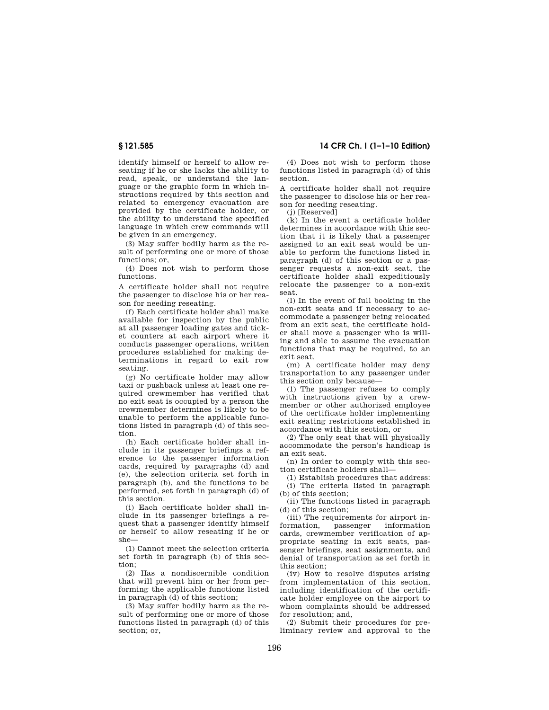identify himself or herself to allow reseating if he or she lacks the ability to read, speak, or understand the language or the graphic form in which instructions required by this section and related to emergency evacuation are provided by the certificate holder, or the ability to understand the specified language in which crew commands will be given in an emergency.

(3) May suffer bodily harm as the result of performing one or more of those functions; or,

(4) Does not wish to perform those functions.

A certificate holder shall not require the passenger to disclose his or her reason for needing reseating.

(f) Each certificate holder shall make available for inspection by the public at all passenger loading gates and ticket counters at each airport where it conducts passenger operations, written procedures established for making determinations in regard to exit row seating.

(g) No certificate holder may allow taxi or pushback unless at least one required crewmember has verified that no exit seat is occupied by a person the crewmember determines is likely to be unable to perform the applicable functions listed in paragraph (d) of this section.

(h) Each certificate holder shall include in its passenger briefings a reference to the passenger information cards, required by paragraphs (d) and (e), the selection criteria set forth in paragraph (b), and the functions to be performed, set forth in paragraph (d) of this section.

(i) Each certificate holder shall include in its passenger briefings a request that a passenger identify himself or herself to allow reseating if he or she—

(1) Cannot meet the selection criteria set forth in paragraph (b) of this section;

(2) Has a nondiscernible condition that will prevent him or her from performing the applicable functions listed in paragraph (d) of this section;

(3) May suffer bodily harm as the result of performing one or more of those functions listed in paragraph (d) of this section; or

**§ 121.585 14 CFR Ch. I (1–1–10 Edition)** 

(4) Does not wish to perform those functions listed in paragraph (d) of this section.

A certificate holder shall not require the passenger to disclose his or her reason for needing reseating.

(j) [Reserved]

(k) In the event a certificate holder determines in accordance with this section that it is likely that a passenger assigned to an exit seat would be unable to perform the functions listed in paragraph (d) of this section or a passenger requests a non-exit seat, the certificate holder shall expeditiously relocate the passenger to a non-exit seat.

(l) In the event of full booking in the non-exit seats and if necessary to accommodate a passenger being relocated from an exit seat, the certificate holder shall move a passenger who is willing and able to assume the evacuation functions that may be required, to an exit seat.

(m) A certificate holder may deny transportation to any passenger under this section only because—

(1) The passenger refuses to comply with instructions given by a crewmember or other authorized employee of the certificate holder implementing exit seating restrictions established in accordance with this section, or

(2) The only seat that will physically accommodate the person's handicap is an exit seat.

(n) In order to comply with this section certificate holders shall—

(1) Establish procedures that address:

(i) The criteria listed in paragraph (b) of this section;

(ii) The functions listed in paragraph (d) of this section;

(iii) The requirements for airport information, passenger information cards, crewmember verification of appropriate seating in exit seats, passenger briefings, seat assignments, and denial of transportation as set forth in this section;

(iv) How to resolve disputes arising from implementation of this section, including identification of the certificate holder employee on the airport to whom complaints should be addressed for resolution; and,

(2) Submit their procedures for preliminary review and approval to the